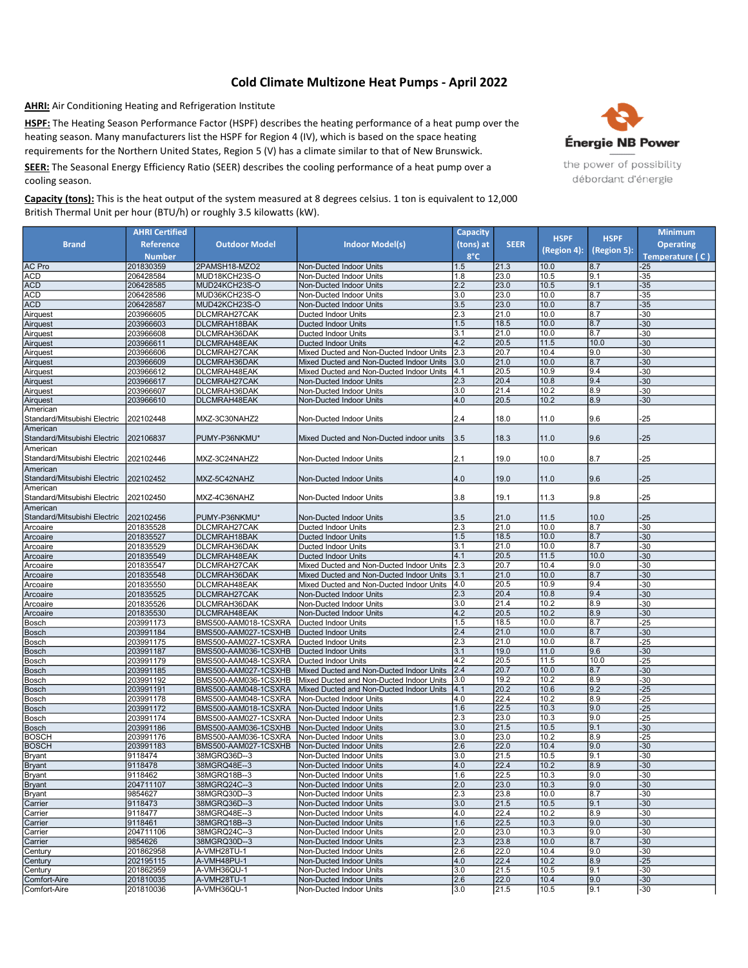## Cold Climate Multizone Heat Pumps - April 2022

AHRI: Air Conditioning Heating and Refrigeration Institute

HSPF: The Heating Season Performance Factor (HSPF) describes the heating performance of a heat pump over the heating season. Many manufacturers list the HSPF for Region 4 (IV), which is based on the space heating requirements for the Northern United States, Region 5 (V) has a climate similar to that of New Brunswick.

SEER: The Seasonal Energy Efficiency Ratio (SEER) describes the cooling performance of a heat pump over a cooling season.

Capacity (tons): This is the heat output of the system measured at 8 degrees celsius. 1 ton is equivalent to 12,000 British Thermal Unit per hour (BTU/h) or roughly 3.5 kilowatts (kW).



|                                          | <b>AHRI Certified</b>  |                                              |                                                                                      | <b>Capacity</b> |              | <b>HSPF</b>  | <b>HSPF</b> | <b>Minimum</b>   |
|------------------------------------------|------------------------|----------------------------------------------|--------------------------------------------------------------------------------------|-----------------|--------------|--------------|-------------|------------------|
| <b>Brand</b>                             | Reference              | <b>Outdoor Model</b>                         | Indoor Model(s)                                                                      | (tons) at       | <b>SEER</b>  |              |             | <b>Operating</b> |
|                                          | <b>Number</b>          |                                              |                                                                                      | $8^{\circ}$ C   |              | (Region 4):  | (Region 5): | Temperature (C)  |
| AC Pro                                   | 201830359              | 2PAMSH18-MZO2                                | Non-Ducted Indoor Units                                                              | 1.5             | 21.3         | 10.0         | 8.7         | $-25$            |
| ACD                                      | 206428584              | MUD18KCH23S-O                                | Non-Ducted Indoor Units                                                              | 1.8             | 23.0         | 10.5         | 9.1         | $-35$            |
| ACD                                      | 206428585              | MUD24KCH23S-O                                | Non-Ducted Indoor Units                                                              | 2.2             | 23.0         | 10.5         | 9.1         | $-35$            |
| ACD                                      | 206428586              | MUD36KCH23S-O                                | Non-Ducted Indoor Units                                                              | 3.0             | 23.0         | 10.0         | 8.7         | -35              |
| ACD                                      | 206428587              | MUD42KCH23S-O                                | Non-Ducted Indoor Units                                                              | 3.5             | 23.0         | 10.0         | 8.7         | $-35$            |
| Airquest                                 | 203966605              | DLCMRAH27CAK                                 | Ducted Indoor Units                                                                  | 2.3             | 21.0         | 10.0         | 8.7         | $-30$            |
| Airquest                                 | 203966603              | DLCMRAH18BAK                                 | <b>Ducted Indoor Units</b>                                                           | 1.5             | 18.5         | 10.0         | 8.7         | $-30$            |
| Airquest                                 | 203966608              | DLCMRAH36DAK                                 | <b>Ducted Indoor Units</b>                                                           | 3.1             | 21.0         | 10.0         | 8.7         | $-30$            |
| Airquest                                 | 203966611              | DLCMRAH48EAK                                 | <b>Ducted Indoor Units</b>                                                           | 4.2             | 20.5         | 11.5         | 10.0        | $-30$            |
| Airquest                                 | 203966606              | DLCMRAH27CAK                                 | Mixed Ducted and Non-Ducted Indoor Units                                             | 2.3             | 20.7         | 10.4         | 9.0         | $-30$            |
| Airquest                                 | 203966609              | DLCMRAH36DAK                                 | Mixed Ducted and Non-Ducted Indoor Units                                             | 3.0             | 21.0         | 10.0         | 8.7         | $-30$            |
| Airquest                                 | 203966612              | DLCMRAH48EAK                                 | Mixed Ducted and Non-Ducted Indoor Units                                             | 14.1            | 20.5         | 10.9         | 9.4         | $-30$            |
| Airquest                                 | 203966617              | DLCMRAH27CAK                                 | Non-Ducted Indoor Units                                                              | 2.3             | 20.4         | 10.8         | 9.4         | $-30$            |
| Airquest                                 | 203966607              | DLCMRAH36DAK                                 | Non-Ducted Indoor Units                                                              | 3.0             | 21.4         | 10.2         | 8.9         | $-30$            |
| Airquest<br>American                     | 203966610              | DLCMRAH48EAK                                 | Non-Ducted Indoor Units                                                              | 4.0             | 20.5         | 10.2         | 8.9         | $-30$            |
| Standard/Mitsubishi Electric             | 202102448              | MXZ-3C30NAHZ2                                | Non-Ducted Indoor Units                                                              | 2.4             | 18.0         | 11.0         | 9.6         | -25              |
| American                                 |                        |                                              |                                                                                      |                 |              |              |             |                  |
| Standard/Mitsubishi Electric             | 202106837              | PUMY-P36NKMU*                                | Mixed Ducted and Non-Ducted indoor units                                             | 3.5             | 18.3         | 11.0         | 9.6         | $-25$            |
| American                                 |                        |                                              |                                                                                      |                 |              |              |             |                  |
| Standard/Mitsubishi Electric             | 202102446              | MXZ-3C24NAHZ2                                | Non-Ducted Indoor Units                                                              | 2.1             | 19.0         | 10.0         | 8.7         | $-25$            |
|                                          |                        |                                              |                                                                                      |                 |              |              |             |                  |
| American<br>Standard/Mitsubishi Electric |                        |                                              | Non-Ducted Indoor Units                                                              |                 |              |              |             |                  |
| American                                 | 202102452              | MXZ-5C42NAHZ                                 |                                                                                      | 4.0             | 19.0         | 11.0         | 9.6         | -25              |
| Standard/Mitsubishi Electric             | 202102450              | MXZ-4C36NAHZ                                 | Non-Ducted Indoor Units                                                              | 3.8             | 19.1         | 11.3         | 9.8         | -25              |
| American                                 |                        |                                              |                                                                                      |                 |              |              |             |                  |
| Standard/Mitsubishi Electric             | 202102456              | PUMY-P36NKMU*                                | Non-Ducted Indoor Units                                                              | 3.5             | 21.0         | 11.5         | 10.0        | $-25$            |
| Arcoaire                                 | 201835528              | DLCMRAH27CAK                                 | <b>Ducted Indoor Units</b>                                                           | 2.3             | 21.0         | 10.0         | 8.7         | $-30$            |
| Arcoaire                                 | 201835527              | DLCMRAH18BAK                                 | <b>Ducted Indoor Units</b>                                                           | 1.5             | 18.5         | 10.0         | 8.7         | $-30$            |
| Arcoaire                                 | 201835529              | DLCMRAH36DAK                                 | <b>Ducted Indoor Units</b>                                                           | 3.1             | 21.0         | 10.0         | 8.7         | $-30$            |
| Arcoaire                                 | 201835549              | DLCMRAH48EAK                                 | <b>Ducted Indoor Units</b>                                                           | 4.1             | 20.5         | 11.5         | 10.0        | $-30$            |
| Arcoaire                                 | 201835547              | DLCMRAH27CAK                                 | Mixed Ducted and Non-Ducted Indoor Units                                             | 2.3             | 20.7         | 10.4         | 9.0         | $-30$            |
| Arcoaire                                 | 201835548              | DLCMRAH36DAK                                 | Mixed Ducted and Non-Ducted Indoor Units                                             | 3.1             | 21.0         | 10.0         | 8.7         | $-30$            |
| Arcoaire                                 | 201835550              | DLCMRAH48EAK                                 | Mixed Ducted and Non-Ducted Indoor Units                                             | 4.0             | 20.5         | 10.9         | 9.4         | $-30$            |
| Arcoaire                                 | 201835525              | DLCMRAH27CAK                                 | Non-Ducted Indoor Units                                                              | 2.3             | 20.4         | 10.8         | 9.4         | $-30$            |
| Arcoaire                                 | 201835526              | DLCMRAH36DAK                                 | Non-Ducted Indoor Units                                                              | 3.0             | 21.4         | 10.2         | 8.9         | $-30$            |
| Arcoaire                                 | 201835530              | DLCMRAH48EAK                                 | Non-Ducted Indoor Units                                                              | 4.2             | 20.5         | 10.2         | 8.9         | $-30$            |
| Bosch                                    | 203991173              | BMS500-AAM018-1CSXRA                         | Ducted Indoor Units                                                                  | 1.5             | 18.5         | 10.0         | 8.7         | -25              |
| Bosch                                    | 203991184              | BMS500-AAM027-1CSXHB                         | <b>Ducted Indoor Units</b>                                                           | 2.4             | 21.0         | 10.0         | 8.7         | $-30$            |
| Bosch                                    | 203991175              | BMS500-AAM027-1CSXRA                         | <b>Ducted Indoor Units</b>                                                           | 2.3             | 21.0         | 10.0         | 8.7         | $-25$            |
| Bosch                                    | 203991187              | BMS500-AAM036-1CSXHB                         | <b>Ducted Indoor Units</b>                                                           | 3.1             | 19.0         | 11.0         | 9.6         | $-30$            |
| Bosch                                    | 203991179              | BMS500-AAM048-1CSXRA                         | <b>Ducted Indoor Units</b>                                                           | 4.2<br> 2.4     | 20.5<br>20.7 | 11.5<br>10.0 | 10.0<br>8.7 | -25              |
| Bosch                                    | 203991185              | BMS500-AAM027-1CSXHB                         | Mixed Ducted and Non-Ducted Indoor Units                                             | 3.0             | 19.2         | 10.2         | 8.9         | $-30$<br>$-30$   |
| Bosch<br>Bosch                           | 203991192<br>203991191 | BMS500-AAM036-1CSXHB<br>BMS500-AAM048-1CSXRA | Mixed Ducted and Non-Ducted Indoor Units<br>Mixed Ducted and Non-Ducted Indoor Units | 4.1             | 20.2         | 10.6         | 9.2         | $-25$            |
| Bosch                                    | 203991178              | BMS500-AAM048-1CSXRA                         | Non-Ducted Indoor Units                                                              | 4.0             | 22.4         | 10.2         | 8.9         | $-25$            |
| Bosch                                    | 203991172              | BMS500-AAM018-1CSXRA                         | Non-Ducted Indoor Units                                                              | 1.6             | 22.5         | 10.3         | 9.0         | $-25$            |
| Bosch                                    | 203991174              | BMS500-AAM027-1CSXRA                         | Non-Ducted Indoor Units                                                              | 2.3             | 23.0         | 10.3         | 9.0         | -25              |
| Bosch                                    | 203991186              | BMS500-AAM036-1CSXHB                         | Non-Ducted Indoor Units                                                              | 3.0             | 21.5         | 10.5         | 9.1         | $-30$            |
| BOSCH                                    | 203991176              | BMS500-AAM036-1CSXRA                         | Non-Ducted Indoor Units                                                              | 3.0             | 23.0         | 10.2         | 8.9         | $-25$            |
| <b>BOSCH</b>                             | 203991183              | BMS500-AAM027-1CSXHB                         | Non-Ducted Indoor Units                                                              | 2.6             | 22.0         | 10.4         | 9.0         | $-30$            |
| Bryant                                   | 9118474                | 38MGRQ36D--3                                 | Non-Ducted Indoor Units                                                              | 3.0             | 21.5         | 10.5         | 9.1         | $-30$            |
| Bryant                                   | 9118478                | 38MGRQ48E--3                                 | Non-Ducted Indoor Units                                                              | 4.0             | 22.4         | 10.2         | 8.9         | $-30$            |
| Bryant                                   | 9118462                | 38MGRQ18B--3                                 | Non-Ducted Indoor Units                                                              | 1.6             | 22.5         | 10.3         | 9.0         | $-30$            |
| <b>Bryant</b>                            | 204711107              | 38MGRQ24C--3                                 | Non-Ducted Indoor Units                                                              | 2.0             | 23.0         | 10.3         | 9.0         | $-30$            |
| Bryant                                   | 9854627                | 38MGRQ30D--3                                 | Non-Ducted Indoor Units                                                              | 2.3             | 23.8         | 10.0         | 8.7         | $-30$            |
| Carrier                                  | 9118473                | 38MGRQ36D--3                                 | Non-Ducted Indoor Units                                                              | 3.0             | 21.5         | 10.5         | 9.1         | $-30$            |
| Carrier                                  | 9118477                | 38MGRQ48E--3                                 | Non-Ducted Indoor Units                                                              | 4.0             | 22.4         | 10.2         | 8.9         | -30              |
| Carrier                                  | 9118461                | 38MGRQ18B--3                                 | Non-Ducted Indoor Units                                                              | 1.6             | 22.5         | 10.3         | 9.0         | $-30$            |
| Carrier                                  | 204711106              | 38MGRQ24C--3                                 | Non-Ducted Indoor Units                                                              | 2.0             | 23.0         | 10.3         | 9.0         | $-30$            |
| Carrier                                  | 9854626                | 38MGRQ30D--3                                 | Non-Ducted Indoor Units                                                              | 2.3             | 23.8         | 10.0         | 8.7         | $-30$            |
| Century                                  | 201862958              | A-VMH28TU-1<br>A-VMH48PU-1                   | Non-Ducted Indoor Units                                                              | 2.6             | 22.0         | 10.4         | 9.0         | -30              |
| Century                                  | 202195115              |                                              | Non-Ducted Indoor Units                                                              | 4.0<br>3.0      | 22.4         | 10.2         | 8.9         | $-25$<br>-30     |
| Century<br>Comfort-Aire                  | 201862959<br>201810035 | A-VMH36QU-1<br>A-VMH28TU-1                   | Non-Ducted Indoor Units<br>Non-Ducted Indoor Units                                   | 2.6             | 21.5<br>22.0 | 10.5<br>10.4 | 9.1<br>9.0  | $-30$            |
| Comfort-Aire                             | 201810036              | A-VMH36QU-1                                  | Non-Ducted Indoor Units                                                              | 3.0             | 21.5         | 10.5         | 9.1         | $-30$            |
|                                          |                        |                                              |                                                                                      |                 |              |              |             |                  |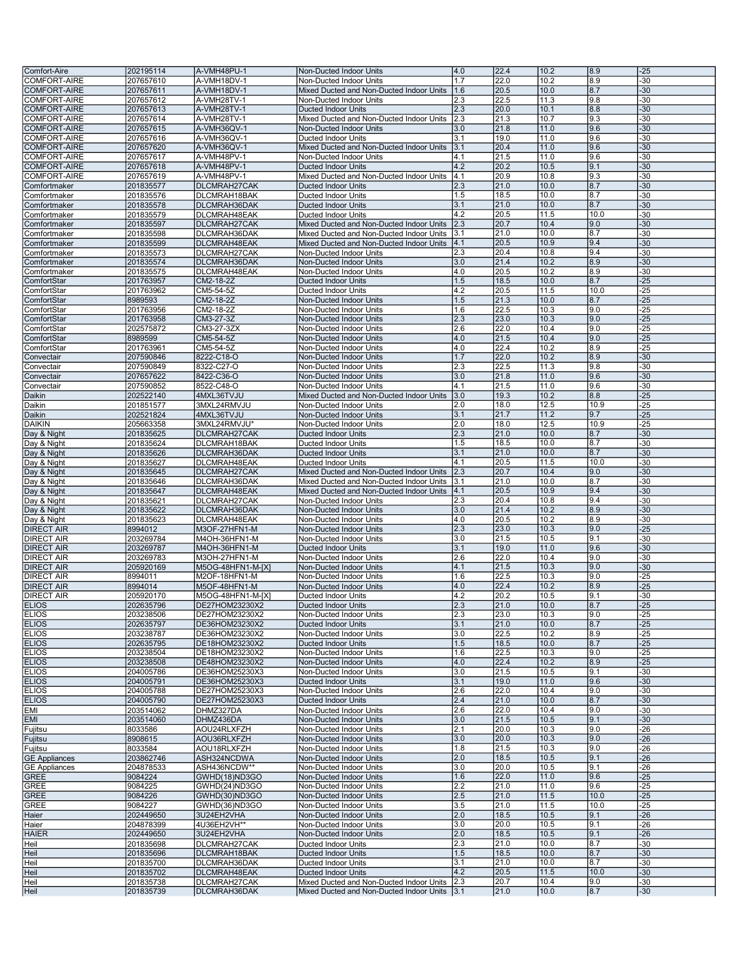| Comfort-Aire         | 202195114              | A-VMH48PU-1                  | Non-Ducted Indoor Units                                                                  | 4.0 | 22.4         | 10.2         | 8.9          | $-25$        |
|----------------------|------------------------|------------------------------|------------------------------------------------------------------------------------------|-----|--------------|--------------|--------------|--------------|
| COMFORT-AIRE         |                        | A-VMH18DV-1                  | Non-Ducted Indoor Units                                                                  | 1.7 | 22.0         | 10.2         | 8.9          | -30          |
|                      | 207657610              |                              |                                                                                          |     |              |              |              |              |
| <b>COMFORT-AIRE</b>  | 207657611              | A-VMH18DV-1                  | Mixed Ducted and Non-Ducted Indoor Units                                                 | 1.6 | 20.5         | 10.0         | 8.7          | $-30$        |
| <b>COMFORT-AIRE</b>  | 207657612              | A-VMH28TV-1                  | Non-Ducted Indoor Units                                                                  | 2.3 | 22.5         | 11.3         | 9.8          | -30          |
| <b>COMFORT-AIRE</b>  | 207657613              | A-VMH28TV-1                  | <b>Ducted Indoor Units</b>                                                               | 2.3 | 20.0         | 10.1         | 8.8          | $-30$        |
| <b>COMFORT-AIRE</b>  | 207657614              | A-VMH28TV-1                  | Mixed Ducted and Non-Ducted Indoor Units                                                 | 2.3 | 21.3         | 10.7         | 9.3          | -30          |
|                      |                        |                              | Non-Ducted Indoor Units                                                                  |     |              |              | 9.6          | $-30$        |
| COMFORT-AIRE         | 207657615              | A-VMH36QV-1                  |                                                                                          | 3.0 | 21.8         | 11.0         |              |              |
| <b>COMFORT-AIRE</b>  | 207657616              | A-VMH36QV-1                  | <b>Ducted Indoor Units</b>                                                               | 3.1 | 19.0         | 11.0         | 9.6          | -30          |
| <b>COMFORT-AIRE</b>  | 207657620              | A-VMH36QV-1                  | Mixed Ducted and Non-Ducted Indoor Units                                                 | 3.1 | 20.4         | 11.0         | 9.6          | $-30$        |
| <b>COMFORT-AIRE</b>  | 207657617              | A-VMH48PV-1                  | Non-Ducted Indoor Units                                                                  | 4.1 | 21.5         | 11.0         | 9.6          | -30          |
| <b>COMFORT-AIRE</b>  | 207657618              | A-VMH48PV-1                  | <b>Ducted Indoor Units</b>                                                               | 4.2 | 20.2         | 10.5         | 9.1          | $-30$        |
|                      |                        |                              |                                                                                          |     |              |              |              |              |
| COMFORT-AIRE         | 207657619              | A-VMH48PV-1                  | Mixed Ducted and Non-Ducted Indoor Units                                                 | 4.1 | 20.9         | 10.8         | 9.3          | -30          |
| Comfortmaker         | 201835577              | DLCMRAH27CAK                 | <b>Ducted Indoor Units</b>                                                               | 2.3 | 21.0         | 10.0         | 8.7          | 30           |
| Comfortmaker         | 201835576              | DLCMRAH18BAK                 | <b>Ducted Indoor Units</b>                                                               | 1.5 | 18.5         | 10.0         | 8.7          | -30          |
| Comfortmaker         | 201835578              | DLCMRAH36DAK                 | <b>Ducted Indoor Units</b>                                                               | 3.1 | 21.0         | 10.0         | 8.7          | 30           |
| Comfortmaker         | 201835579              | DLCMRAH48EAK                 | <b>Ducted Indoor Units</b>                                                               | 4.2 | 20.5         | 11.5         | 10.0         | -30          |
|                      |                        |                              |                                                                                          |     |              |              |              |              |
| Comfortmaker         | 201835597              | DLCMRAH27CAK                 | Mixed Ducted and Non-Ducted Indoor Units                                                 | 2.3 | 20.7         | 10.4         | 9.0          | $-30$        |
| Comfortmaker         | 201835598              | DLCMRAH36DAK                 | Mixed Ducted and Non-Ducted Indoor Units                                                 | 3.1 | 21.0         | 10.0         | 8.7          | -30          |
| Comfortmaker         | 201835599              | DLCMRAH48EAK                 | Mixed Ducted and Non-Ducted Indoor Units                                                 | 4.1 | 20.5         | 10.9         | 9.4          | $-30$        |
| Comfortmaker         | 201835573              | DLCMRAH27CAK                 | Non-Ducted Indoor Units                                                                  | 2.3 | 20.4         | 10.8         | 9.4          | -30          |
| Comfortmaker         |                        | DLCMRAH36DAK                 | Non-Ducted Indoor Units                                                                  | 3.0 | 21.4         | 10.2         | 8.9          | $-30$        |
|                      | 201835574              |                              |                                                                                          |     |              |              |              |              |
| Comfortmaker         | 201835575              | DLCMRAH48EAK                 | Non-Ducted Indoor Units                                                                  | 4.0 | 20.5         | 10.2         | 8.9          | $-30$        |
| ComfortStar          | 201763957              | CM2-18-2Z                    | <b>Ducted Indoor Units</b>                                                               | 1.5 | 18.5         | 10.0         | 8.7          | $-25$        |
| ComfortStar          | 201763962              | CM5-54-5Z                    | <b>Ducted Indoor Units</b>                                                               | 4.2 | 20.5         | 11.5         | 10.0         | $-25$        |
| ComfortStar          | 8989593                | CM2-18-2Z                    | Non-Ducted Indoor Units                                                                  | 1.5 | 21.3         | 10.0         | 8.7          | $-25$        |
|                      |                        |                              | Non-Ducted Indoor Units                                                                  | 1.6 | 22.5         | 10.3         | 9.0          | $-25$        |
| ComfortStar          | 201763956              | CM2-18-2Z                    |                                                                                          |     |              |              |              |              |
| ComfortStar          | 201763958              | CM3-27-3Z                    | Non-Ducted Indoor Units                                                                  | 2.3 | 23.0         | 10.3         | 9.0          | $-25$        |
| ComfortStar          | 202575872              | CM3-27-3ZX                   | Non-Ducted Indoor Units                                                                  | 2.6 | 22.0         | 10.4         | 9.0          | $-25$        |
| ComfortStar          | 8989599                | CM5-54-5Z                    | Non-Ducted Indoor Units                                                                  | 4.0 | 21.5         | 10.4         | 9.0          | $-25$        |
| ComfortStar          | 201763961              | CM5-54-5Z                    | Non-Ducted Indoor Units                                                                  | 4.0 | 22.4         | 10.2         | 8.9          | $-25$        |
|                      |                        |                              |                                                                                          |     |              |              |              |              |
| Convectair           | 207590846              | 8222-C18-O                   | Non-Ducted Indoor Units                                                                  | 1.7 | 22.0         | 10.2         | 8.9          | $-30$        |
| Convectair           | 207590849              | 8322-C27-O                   | Non-Ducted Indoor Units                                                                  | 2.3 | 22.5         | 11.3         | 9.8          | -30          |
| Convectair           | 207657622              | 8422-C36-O                   | Non-Ducted Indoor Units                                                                  | 3.0 | 21.8         | 11.0         | 9.6          | $-30$        |
| Convectair           | 207590852              | 8522-C48-O                   | Non-Ducted Indoor Units                                                                  | 4.1 | 21.5         | 11.0         | 9.6          | -30          |
| Daikin               | 202522140              |                              | Mixed Ducted and Non-Ducted Indoor Units                                                 | 3.0 | 19.3         | 10.2         | 8.8          | $-25$        |
|                      |                        | 4MXL36TVJU                   |                                                                                          |     |              |              |              |              |
| Daikin               | 201851577              | 3MXL24RMVJU                  | Non-Ducted Indoor Units                                                                  | 2.0 | 18.0         | 12.5         | 10.9         | $-25$        |
| Daikin               | 202521824              | 4MXL36TVJU                   | Non-Ducted Indoor Units                                                                  | 3.1 | 21.7         | 11.2         | 9.7          | $-25$        |
| <b>DAIKIN</b>        | 205663358              | 3MXL24RMVJU*                 | Non-Ducted Indoor Units                                                                  | 2.0 | 18.0         | 12.5         | 10.9         | $-25$        |
| Day & Night          | 201835625              | DLCMRAH27CAK                 | <b>Ducted Indoor Units</b>                                                               | 2.3 | 21.0         | 10.0         | 8.7          | 30           |
|                      |                        |                              |                                                                                          |     |              |              |              |              |
| Day & Night          | 201835624              | DLCMRAH18BAK                 | <b>Ducted Indoor Units</b>                                                               | 1.5 | 18.5         | 10.0         | 8.7          | -30          |
| Day & Night          | 201835626              | DLCMRAH36DAK                 | <b>Ducted Indoor Units</b>                                                               | 3.1 | 21.0         | 10.0         | 8.7          | $-30$        |
| Day & Night          | 201835627              | DLCMRAH48EAK                 | Ducted Indoor Units                                                                      | 4.1 | 20.5         | 11.5         | 10.0         | -30          |
| Day & Night          | 201835645              | DLCMRAH27CAK                 | Mixed Ducted and Non-Ducted Indoor Units                                                 | 2.3 | 20.7         | 10.4         | 9.0          | 30           |
| Day & Night          | 201835646              | DLCMRAH36DAK                 | Mixed Ducted and Non-Ducted Indoor Units                                                 | 3.1 | 21.0         | 10.0         | 8.7          | -30          |
|                      |                        |                              |                                                                                          |     |              |              |              |              |
| Day & Night          | 201835647              | DLCMRAH48EAK                 | Mixed Ducted and Non-Ducted Indoor Units                                                 | 4.1 | 20.5         | 10.9         | 9.4          | 30           |
| Day & Night          | 201835621              | DLCMRAH27CAK                 | Non-Ducted Indoor Units                                                                  | 2.3 | 20.4         | 10.8         | 9.4          | -30          |
| Day & Night          | 201835622              | DLCMRAH36DAK                 | Non-Ducted Indoor Units                                                                  | 3.0 | 21.4         | 10.2         | 8.9          | $-30$        |
| Day & Night          | 201835623              | DLCMRAH48EAK                 | Non-Ducted Indoor Units                                                                  | 4.0 | 20.5         | 10.2         | 8.9          | -30          |
|                      |                        |                              |                                                                                          |     |              |              |              |              |
| <b>DIRECT AIR</b>    | 8994012                | M3OF-27HFN1-M                | Non-Ducted Indoor Units                                                                  | 2.3 | 23.0         | 10.3         | 9.0          | $-25$        |
| <b>DIRECT AIR</b>    | 203269784              | M4OH-36HFN1-M                | Non-Ducted Indoor Units                                                                  | 3.0 | 21.5         | 10.5         | 9.1          | -30          |
| <b>DIRECT AIR</b>    | 203269787              | M4OH-36HFN1-M                | <b>Ducted Indoor Units</b>                                                               | 3.1 | 19.0         | 11.0         | 9.6          | $-30$        |
| <b>DIRECT AIR</b>    | 203269783              | M3OH-27HFN1-M                | Non-Ducted Indoor Units                                                                  | 2.6 | 22.0         | 10.4         | 9.0          | -30          |
| <b>DIRECT AIR</b>    | 205920169              | M5OG-48HFN1-M-[X]            | Non-Ducted Indoor Units                                                                  | 4.1 | 21.5         | 10.3         | 9.0          | 30           |
|                      |                        |                              |                                                                                          |     |              |              |              |              |
| <b>DIRECT AIR</b>    | 8994011                | M2OF-18HFN1-M                | Non-Ducted Indoor Units                                                                  | 1.6 | 22.5         | 10.3         | 9.0          | $-25$        |
| <b>DIRECT AIR</b>    | 8994014                | M5OF-48HFN1-M                | Non-Ducted Indoor Units                                                                  | 4.0 | 22.4         | 10.2         | 8.9          | $-25$        |
| <b>DIRECT AIR</b>    | 205920170              | M5OG-48HFN1-M-[X]            | <b>Ducted Indoor Units</b>                                                               | 4.2 | 20.2         | 10.5         | 9.1          | -30          |
| <b>ELIOS</b>         | 202635796              | DE27HOM23230X2               | <b>Ducted Indoor Units</b>                                                               | 2.3 | 21.0         | 10.0         | 8.7          | $-25$        |
| <b>ELIOS</b>         |                        | DE27HOM23230X2               |                                                                                          |     |              |              |              |              |
|                      | 203238506              |                              | Non-Ducted Indoor Units                                                                  | 2.3 | 23.0         | 10.3         | 19.0         | -25          |
| <b>ELIOS</b>         | 202635797              | DE36HOM23230X2               | <b>Ducted Indoor Units</b>                                                               | 3.1 | 21.0         | 10.0         | 8.7          | $-25$        |
| <b>ELIOS</b>         | 203238787              | DE36HOM23230X2               | Non-Ducted Indoor Units                                                                  | 3.0 | 22.5         | 10.2         | 8.9          | -25          |
| <b>ELIOS</b>         | 202635795              | DE18HOM23230X2               | Ducted Indoor Units                                                                      | 1.5 | 18.5         | 10.0         | 8.7          | -25          |
| <b>ELIOS</b>         | 203238504              | DE18HOM23230X2               | Non-Ducted Indoor Units                                                                  | 1.6 | 22.5         | 10.3         | 9.0          | -25          |
| <b>ELIOS</b>         | 203238508              | DE48HOM23230X2               | Non-Ducted Indoor Units                                                                  | 4.0 | 22.4         | 10.2         | 8.9          | $-25$        |
| <b>ELIOS</b>         | 204005786              | DE36HOM25230X3               | Non-Ducted Indoor Units                                                                  | 3.0 | 21.5         | 10.5         | 9.1          | -30          |
|                      |                        |                              |                                                                                          |     |              |              |              |              |
| <b>ELIOS</b>         | 204005791              | DE36HOM25230X3               | Ducted Indoor Units                                                                      | 3.1 | 19.0         | 11.0         | 9.6          | $-30$        |
| <b>ELIOS</b>         | 204005788              | DE27HOM25230X3               | Non-Ducted Indoor Units                                                                  | 2.6 | 22.0         | 10.4         | 9.0          | -30          |
| <b>ELIOS</b>         | 204005790              | DE27HOM25230X3               | <b>Ducted Indoor Units</b>                                                               | 2.4 | 21.0         | 10.0         | 8.7          | $-30$        |
| <b>EMI</b>           | 203514062              | DHMZ327DA                    | Non-Ducted Indoor Units                                                                  | 2.6 | 22.0         | 10.4         | 9.0          | $-30$        |
| <b>EMI</b>           | 203514060              | DHMZ436DA                    | Non-Ducted Indoor Units                                                                  | 3.0 | 21.5         | 10.5         | 9.1          | $-30$        |
| Fujitsu              |                        |                              |                                                                                          | 2.1 | 20.0         | 10.3         | 9.0          |              |
|                      | 8033586                | AOU24RLXFZH                  | Non-Ducted Indoor Units                                                                  |     |              |              |              | -26          |
| Fujitsu              | 8908615                | AOU36RLXFZH                  | Non-Ducted Indoor Units                                                                  | 3.0 | 20.0         | 10.3         | 9.0          | $-26$        |
| Fujitsu              | 8033584                | AOU18RLXFZH                  | Non-Ducted Indoor Units                                                                  | 1.8 | 21.5         | 10.3         | 9.0          | $-26$        |
| <b>GE Appliances</b> | 203862746              | ASH324NCDWA                  | Non-Ducted Indoor Units                                                                  | 2.0 | 18.5         | 10.5         | 9.1          | $-26$        |
| <b>GE Appliances</b> | 204878533              | ASH436NCDW**                 | Non-Ducted Indoor Units                                                                  | 3.0 | 20.0         | 10.5         | 9.1          | -26          |
| GREE                 | 9084224                | GWHD(18)ND3GO                | Non-Ducted Indoor Units                                                                  | 1.6 | 22.0         | 11.0         | 9.6          | $-25$        |
|                      |                        |                              |                                                                                          |     |              |              |              |              |
| GREE                 | 9084225                | GWHD(24)ND3GO                | Non-Ducted Indoor Units                                                                  | 2.2 | 21.0         | 11.0         | 9.6          | -25          |
| <b>GREE</b>          | 9084226                | GWHD(30)ND3GO                | Non-Ducted Indoor Units                                                                  | 2.5 | 21.0         | 11.5         | 10.0         | -25          |
| GREE                 | 9084227                | GWHD(36)ND3GO                | Non-Ducted Indoor Units                                                                  | 3.5 | 21.0         | 11.5         | 10.0         | $-25$        |
| Haier                | 202449650              | 3U24EH2VHA                   | Non-Ducted Indoor Units                                                                  | 2.0 | 18.5         | 10.5         | 9.1          | $-26$        |
| Haier                | 204878399              | 4U36EH2VH**                  | Non-Ducted Indoor Units                                                                  | 3.0 | 20.0         | 10.5         | 9.1          | -26          |
|                      |                        |                              |                                                                                          |     |              |              |              |              |
| <b>HAIER</b>         | 202449650              | 3U24EH2VHA                   | Non-Ducted Indoor Units                                                                  | 2.0 | 18.5         | 10.5         | 9.1          | -26          |
| Heil                 | 201835698              | DLCMRAH27CAK                 | Ducted Indoor Units                                                                      | 2.3 | 21.0         | 10.0         | 8.7          | $-30$        |
| Heil                 | 201835696              | DLCMRAH18BAK                 | <b>Ducted Indoor Units</b>                                                               | 1.5 | 18.5         | 10.0         | 8.7          | $-30$        |
| Heil                 |                        | DLCMRAH36DAK                 | Ducted Indoor Units                                                                      | 3.1 | 21.0         | 10.0         | 8.7          | -30          |
|                      |                        |                              |                                                                                          |     |              |              |              |              |
|                      | 201835700              |                              |                                                                                          |     |              |              |              |              |
| Heil                 | 201835702              | DLCMRAH48EAK                 | <b>Ducted Indoor Units</b>                                                               | 4.2 | 20.5         | 11.5         | 10.0         | $-30$        |
| Heil<br>Heil         | 201835738<br>201835739 | DLCMRAH27CAK<br>DLCMRAH36DAK | Mixed Ducted and Non-Ducted Indoor Units<br>Mixed Ducted and Non-Ducted Indoor Units 3.1 | 2.3 | 20.7<br>21.0 | 10.4<br>10.0 | 9.0 <br> 8.7 | -30<br>$-30$ |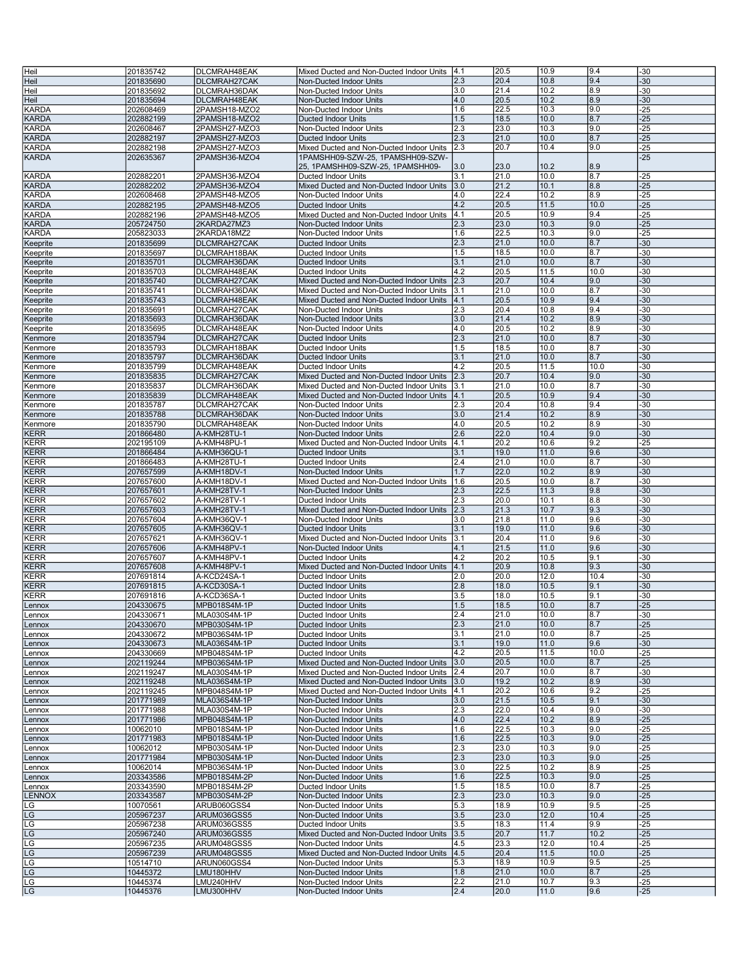| Heil         | 201835742 | DLCMRAH48EAK  | Mixed Ducted and Non-Ducted Indoor Units  4.1  |     | 20.5 | 10.9 | 9.4  | $-30$ |
|--------------|-----------|---------------|------------------------------------------------|-----|------|------|------|-------|
|              |           |               |                                                |     |      |      |      |       |
| Heil         | 201835690 | DLCMRAH27CAK  | Non-Ducted Indoor Units                        | 2.3 | 20.4 | 10.8 | 9.4  | $-30$ |
| Heil         | 201835692 | DLCMRAH36DAK  | Non-Ducted Indoor Units                        | 3.0 | 21.4 | 10.2 | 8.9  | $-30$ |
| Heil         | 201835694 | DLCMRAH48EAK  | Non-Ducted Indoor Units                        | 4.0 | 20.5 | 10.2 | 8.9  | $-30$ |
| <b>KARDA</b> | 202608469 | 2PAMSH18-MZO2 | Non-Ducted Indoor Units                        | 1.6 | 22.5 | 10.3 | 9.0  | $-25$ |
| <b>KARDA</b> | 202882199 | 2PAMSH18-MZO2 | <b>Ducted Indoor Units</b>                     | 1.5 | 18.5 | 10.0 | 8.7  | $-25$ |
|              |           |               |                                                |     |      |      |      |       |
| <b>KARDA</b> | 202608467 | 2PAMSH27-MZO3 | Non-Ducted Indoor Units                        | 2.3 | 23.0 | 10.3 | 9.0  | -25   |
| <b>KARDA</b> | 202882197 | 2PAMSH27-MZO3 | <b>Ducted Indoor Units</b>                     | 2.3 | 21.0 | 10.0 | 8.7  | $-25$ |
| <b>KARDA</b> | 202882198 | 2PAMSH27-MZO3 | Mixed Ducted and Non-Ducted Indoor Units       | 2.3 | 20.7 | 10.4 | 9.0  | $-25$ |
| <b>KARDA</b> | 202635367 | 2PAMSH36-MZO4 | 1PAMSHH09-SZW-25, 1PAMSHH09-SZW-               |     |      |      |      | $-25$ |
|              |           |               | 25, 1PAMSHH09-SZW-25, 1PAMSHH09-               | 3.0 | 23.0 | 10.2 | 8.9  |       |
| <b>KARDA</b> | 202882201 | 2PAMSH36-MZO4 | Ducted Indoor Units                            | 3.1 | 21.0 | 10.0 | 8.7  | -25   |
|              |           |               |                                                |     |      |      |      |       |
| KARDA        | 202882202 | 2PAMSH36-MZO4 | Mixed Ducted and Non-Ducted Indoor Units       | 3.0 | 21.2 | 10.1 | 8.8  | $-25$ |
| <b>KARDA</b> | 202608468 | 2PAMSH48-MZO5 | Non-Ducted Indoor Units                        | 4.0 | 22.4 | 10.2 | 8.9  | $-25$ |
| <b>KARDA</b> | 202882195 | 2PAMSH48-MZO5 | <b>Ducted Indoor Units</b>                     | 4.2 | 20.5 | 11.5 | 10.0 | $-25$ |
| KARDA        | 202882196 | 2PAMSH48-MZO5 | Mixed Ducted and Non-Ducted Indoor Units       | 4.1 | 20.5 | 10.9 | 9.4  | $-25$ |
| <b>KARDA</b> | 205724750 | 2KARDA27MZ3   | Non-Ducted Indoor Units                        | 2.3 | 23.0 | 10.3 | 9.0  | -25   |
| KARDA        | 205823033 | 2KARDA18MZ2   | Non-Ducted Indoor Units                        | 1.6 | 22.5 | 10.3 | 9.0  | $-25$ |
|              |           |               |                                                |     |      |      |      |       |
| Keeprite     | 201835699 | DLCMRAH27CAK  | <b>Ducted Indoor Units</b>                     | 2.3 | 21.0 | 10.0 | 8.7  | $-30$ |
| Keeprite     | 201835697 | DLCMRAH18BAK  | Ducted Indoor Units                            | 1.5 | 18.5 | 10.0 | 8.7  | $-30$ |
| Keeprite     | 201835701 | DLCMRAH36DAK  | <b>Ducted Indoor Units</b>                     | 3.1 | 21.0 | 10.0 | 8.7  | $-30$ |
| Keeprite     | 201835703 | DLCMRAH48EAK  | Ducted Indoor Units                            | 4.2 | 20.5 | 11.5 | 10.0 | $-30$ |
| Keeprite     | 201835740 | DLCMRAH27CAK  | Mixed Ducted and Non-Ducted Indoor Units       | 2.3 | 20.7 | 10.4 | 9.0  | $-30$ |
|              | 201835741 | DLCMRAH36DAK  | Mixed Ducted and Non-Ducted Indoor Units       | 3.1 | 21.0 | 10.0 | 8.7  | $-30$ |
| Keeprite     |           |               |                                                |     |      |      |      |       |
| Keeprite     | 201835743 | DLCMRAH48EAK  | Mixed Ducted and Non-Ducted Indoor Units       | 4.1 | 20.5 | 10.9 | 9.4  | $-30$ |
| Keeprite     | 201835691 | DLCMRAH27CAK  | Non-Ducted Indoor Units                        | 2.3 | 20.4 | 10.8 | 9.4  | $-30$ |
| Keeprite     | 201835693 | DLCMRAH36DAK  | Non-Ducted Indoor Units                        | 3.0 | 21.4 | 10.2 | 8.9  | -30   |
| Keeprite     | 201835695 | DLCMRAH48EAK  | Non-Ducted Indoor Units                        | 4.0 | 20.5 | 10.2 | 8.9  | $-30$ |
| Kenmore      | 201835794 | DLCMRAH27CAK  | <b>Ducted Indoor Units</b>                     | 2.3 | 21.0 | 10.0 | 8.7  | $-30$ |
|              |           |               | <b>Ducted Indoor Units</b>                     |     | 18.5 |      | 8.7  | $-30$ |
| Kenmore      | 201835793 | DLCMRAH18BAK  |                                                | 1.5 |      | 10.0 |      |       |
| Kenmore      | 201835797 | DLCMRAH36DAK  | <b>Ducted Indoor Units</b>                     | 3.1 | 21.0 | 10.0 | 8.7  | $-30$ |
| Kenmore      | 201835799 | DLCMRAH48EAK  | Ducted Indoor Units                            | 4.2 | 20.5 | 11.5 | 10.0 | -30   |
| Kenmore      | 201835835 | DLCMRAH27CAK  | Mixed Ducted and Non-Ducted Indoor Units       | 2.3 | 20.7 | 10.4 | 9.0  | $-30$ |
| Kenmore      | 201835837 | DLCMRAH36DAK  | Mixed Ducted and Non-Ducted Indoor Units       | 3.1 | 21.0 | 10.0 | 8.7  | $-30$ |
| Kenmore      | 201835839 | DLCMRAH48EAK  | Mixed Ducted and Non-Ducted Indoor Units       | 4.1 | 20.5 | 10.9 | 9.4  | $-30$ |
|              |           |               |                                                |     |      |      |      |       |
| Kenmore      | 201835787 | DLCMRAH27CAK  | Non-Ducted Indoor Units                        | 2.3 | 20.4 | 10.8 | 9.4  | $-30$ |
| Kenmore      | 201835788 | DLCMRAH36DAK  | Non-Ducted Indoor Units                        | 3.0 | 21.4 | 10.2 | 8.9  | $-30$ |
| Kenmore      | 201835790 | DLCMRAH48EAK  | Non-Ducted Indoor Units                        | 4.0 | 20.5 | 10.2 | 8.9  | $-30$ |
| <b>KERR</b>  | 201866480 | A-KMH28TU-1   | Non-Ducted Indoor Units                        | 2.6 | 22.0 | 10.4 | 9.0  | $-30$ |
| KERR         | 202195109 | A-KMH48PU-1   | Mixed Ducted and Non-Ducted Indoor Units       | 4.1 | 20.2 | 10.6 | 9.2  | $-25$ |
| <b>KERR</b>  | 201866484 | A-KMH36QU-1   | <b>Ducted Indoor Units</b>                     | 3.1 | 19.0 | 11.0 | 9.6  | $-30$ |
|              |           |               |                                                |     |      |      |      |       |
| <b>KERR</b>  | 201866483 | A-KMH28TU-1   | Ducted Indoor Units                            | 2.4 | 21.0 | 10.0 | 8.7  | -30   |
| KERR         | 207657599 | A-KMH18DV-1   | Non-Ducted Indoor Units                        | 1.7 | 22.0 | 10.2 | 8.9  | $-30$ |
| KERR         | 207657600 | A-KMH18DV-1   | Mixed Ducted and Non-Ducted Indoor Units       | 1.6 | 20.5 | 10.0 | 8.7  | $-30$ |
| <b>KERR</b>  | 207657601 | A-KMH28TV-1   | Non-Ducted Indoor Units                        | 2.3 | 22.5 | 11.3 | 9.8  | $-30$ |
| KERR         | 207657602 | A-KMH28TV-1   | Ducted Indoor Units                            | 2.3 | 20.0 | 10.1 | 8.8  | $-30$ |
| <b>KERR</b>  | 207657603 | A-KMH28TV-1   | Mixed Ducted and Non-Ducted Indoor Units       | 2.3 | 21.3 | 10.7 | 9.3  | -30   |
|              |           | A-KMH36QV-1   | Non-Ducted Indoor Units                        | 3.0 | 21.8 |      | 9.6  | $-30$ |
| KERR         | 207657604 |               |                                                |     |      | 11.0 |      |       |
| <b>KERR</b>  | 207657605 | A-KMH36QV-1   | <b>Ducted Indoor Units</b>                     | 3.1 | 19.0 | 11.0 | 9.6  | $-30$ |
| KERR         | 207657621 | A-KMH36QV-1   | Mixed Ducted and Non-Ducted Indoor Units       | 3.1 | 20.4 | 11.0 | 9.6  | $-30$ |
| <b>KERR</b>  | 207657606 | A-KMH48PV-1   | Non-Ducted Indoor Units                        | 4.1 | 21.5 | 11.0 | 9.6  | $-30$ |
| <b>KERR</b>  | 207657607 | A-KMH48PV-1   | Ducted Indoor Units                            | 4.2 | 20.2 | 10.5 | 9.1  | -30   |
| KERR         | 207657608 | A-KMH48PV-1   | Mixed Ducted and Non-Ducted Indoor Units       | 4.1 | 20.9 | 10.8 | 9.3  | $-30$ |
| KERR         | 207691814 | A-KCD24SA-1   |                                                | 2.0 | 20.0 | 12.0 | 10.4 | $-30$ |
|              |           |               | Ducted Indoor Units                            |     |      |      |      |       |
| <b>KERR</b>  | 207691815 | A-KCD30SA-1   | <b>Ducted Indoor Units</b>                     | 2.8 | 18.0 | 10.5 | 9.1  | $-30$ |
| KERR         | 207691816 | A-KCD36SA-1   | Ducted Indoor Units                            | 3.5 | 18.0 | 10.5 | 9.1  | $-30$ |
| Lennox       | 204330675 | MPB018S4M-1P  | <b>Ducted Indoor Units</b>                     | 1.5 | 18.5 | 10.0 | 8.7  | $-25$ |
| Lennox       | 204330671 | MLA030S4M-1P  | Ducted Indoor Units                            | 2.4 | 21.0 | 10.0 | 8.7  | -30   |
| Lennox       | 204330670 | MPB030S4M-1P  | <b>Ducted Indoor Units</b>                     | 2.3 | 21.0 | 10.0 | 8.7  | $-25$ |
|              |           |               |                                                | 3.1 | 21.0 | 10.0 | 8.7  | $-25$ |
| Lennox       | 204330672 | MPB036S4M-1P  | Ducted Indoor Units                            |     |      |      |      |       |
| Lennox       | 204330673 | MLA036S4M-1P  | <b>Ducted Indoor Units</b>                     | 3.1 | 19.0 | 11.0 | 9.6  | $-30$ |
| Lennox       | 204330669 | MPB048S4M-1P  | Ducted Indoor Units                            | 4.2 | 20.5 | 11.5 | 10.0 | $-25$ |
| Lennox       | 202119244 | MPB036S4M-1P  | Mixed Ducted and Non-Ducted Indoor Units       | 3.0 | 20.5 | 10.0 | 8.7  | $-25$ |
| ennox        | 202119247 | MLA030S4M-1P  | Mixed Ducted and Non-Ducted Indoor Units       | 2.4 | 20.7 | 10.0 | 8.7  | $-30$ |
| Lennox       | 202119248 | MLA036S4M-1P  | Mixed Ducted and Non-Ducted Indoor Units       | 3.0 | 19.2 | 10.2 | 8.9  | $-30$ |
| Lennox       | 202119245 | MPB048S4M-1P  | Mixed Ducted and Non-Ducted Indoor Units   4.1 |     | 20.2 | 10.6 | 9.2  | $-25$ |
| Lennox       | 201771989 | MLA036S4M-1P  | Non-Ducted Indoor Units                        | 3.0 | 21.5 | 10.5 | 9.1  | -30   |
|              |           |               | Non-Ducted Indoor Units                        | 2.3 | 22.0 |      |      | $-30$ |
| Lennox       | 201771988 | MLA030S4M-1P  |                                                |     |      | 10.4 | 9.0  |       |
| Lennox       | 201771986 | MPB048S4M-1P  | Non-Ducted Indoor Units                        | 4.0 | 22.4 | 10.2 | 8.9  | $-25$ |
| Lennox       | 10062010  | MPB018S4M-1P  | Non-Ducted Indoor Units                        | 1.6 | 22.5 | 10.3 | 9.0  | $-25$ |
| Lennox       | 201771983 | MPB018S4M-1P  | Non-Ducted Indoor Units                        | 1.6 | 22.5 | 10.3 | 9.0  | $-25$ |
| Lennox       | 10062012  | MPB030S4M-1P  | Non-Ducted Indoor Units                        | 2.3 | 23.0 | 10.3 | 9.0  | -25   |
| Lennox       | 201771984 | MPB030S4M-1P  | Non-Ducted Indoor Units                        | 2.3 | 23.0 | 10.3 | 9.0  | $-25$ |
|              |           |               |                                                |     |      |      |      |       |
| Lennox       | 10062014  | MPB036S4M-1P  | Non-Ducted Indoor Units                        | 3.0 | 22.5 | 10.2 | 8.9  | $-25$ |
| Lennox       | 203343586 | MPB018S4M-2P  | Non-Ducted Indoor Units                        | 1.6 | 22.5 | 10.3 | 9.0  | $-25$ |
| Lennox       | 203343590 | MPB018S4M-2P  | Ducted Indoor Units                            | 1.5 | 18.5 | 10.0 | 8.7  | $-25$ |
| LENNOX       | 203343587 | MPB030S4M-2P  | Non-Ducted Indoor Units                        | 2.3 | 23.0 | 10.3 | 9.0  | -25   |
| LG           | 10070561  | ARUB060GSS4   | Non-Ducted Indoor Units                        | 5.3 | 18.9 | 10.9 | 9.5  | $-25$ |
| LG           | 205967237 | ARUM036GSS5   | Non-Ducted Indoor Units                        | 3.5 | 23.0 | 12.0 | 10.4 | $-25$ |
| LG           | 205967238 | ARUM036GSS5   | Ducted Indoor Units                            | 3.5 | 18.3 | 11.4 | 9.9  | $-25$ |
|              |           |               |                                                |     |      |      |      |       |
| LG           | 205967240 | ARUM036GSS5   | Mixed Ducted and Non-Ducted Indoor Units       | 3.5 | 20.7 | 11.7 | 10.2 | $-25$ |
| LG           | 205967235 | ARUM048GSS5   | Non-Ducted Indoor Units                        | 4.5 | 23.3 | 12.0 | 10.4 | -25   |
| LG           | 205967239 | ARUM048GSS5   | Mixed Ducted and Non-Ducted Indoor Units       | 4.5 | 20.4 | 11.5 | 10.0 | $-25$ |
| LG           | 10514710  | ARUN060GSS4   | Non-Ducted Indoor Units                        | 5.3 | 18.9 | 10.9 | 9.5  | $-25$ |
| LG           | 10445372  | LMU180HHV     | Non-Ducted Indoor Units                        | 1.8 | 21.0 | 10.0 | 8.7  | $-25$ |
| LG           | 10445374  | LMU240HHV     | Non-Ducted Indoor Units                        | 2.2 | 21.0 | 10.7 | 9.3  | $-25$ |
| LG           |           |               |                                                | 2.4 | 20.0 | 11.0 |      |       |
|              | 10445376  | LMU300HHV     | Non-Ducted Indoor Units                        |     |      |      | 9.6  | $-25$ |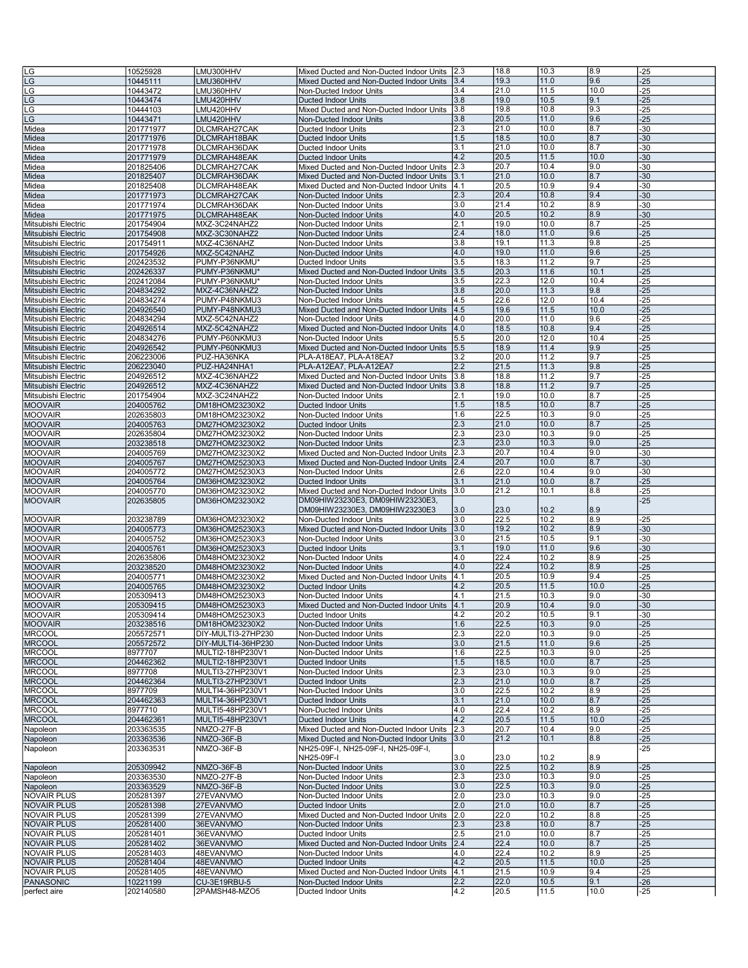| LG                  | 10525928  | LMU300HHV          | Mixed Ducted and Non-Ducted Indoor Units | 2.3 | 18.8 | 10.3 | 8.9  | $-25$ |
|---------------------|-----------|--------------------|------------------------------------------|-----|------|------|------|-------|
| LG                  | 10445111  | LMU360HHV          | Mixed Ducted and Non-Ducted Indoor Units | 3.4 | 19.3 | 11.0 | 9.6  | -25   |
| -G                  |           |                    |                                          | 3.4 | 21.0 | 11.5 | 10.0 | $-25$ |
|                     | 10443472  | LMU360HHV          | Non-Ducted Indoor Units                  |     |      |      |      |       |
| LG                  | 10443474  | LMU420HHV          | <b>Ducted Indoor Units</b>               | 3.8 | 19.0 | 10.5 | 9.1  | $-25$ |
| LG                  | 10444103  | LMU420HHV          | Mixed Ducted and Non-Ducted Indoor Units | 3.8 | 19.8 | 10.8 | 9.3  | $-25$ |
| LG                  | 10443471  | LMU420HHV          | Non-Ducted Indoor Units                  | 3.8 | 20.5 | 11.0 | 9.6  | $-25$ |
| Midea               | 201771977 | DLCMRAH27CAK       | Ducted Indoor Units                      | 2.3 | 21.0 | 10.0 | 8.7  | -30   |
| Midea               | 201771976 | DLCMRAH18BAK       | <b>Ducted Indoor Units</b>               | 1.5 | 18.5 | 10.0 | 8.7  | $-30$ |
| Midea               | 201771978 | DLCMRAH36DAK       | Ducted Indoor Units                      | 3.1 | 21.0 | 10.0 | 8.7  | $-30$ |
| Midea               | 201771979 | DLCMRAH48EAK       | <b>Ducted Indoor Units</b>               | 4.2 | 20.5 | 11.5 | 10.0 | $-30$ |
| Midea               | 201825406 | DLCMRAH27CAK       | Mixed Ducted and Non-Ducted Indoor Units | 2.3 | 20.7 | 10.4 | 9.0  | $-30$ |
| Midea               | 201825407 | DLCMRAH36DAK       | Mixed Ducted and Non-Ducted Indoor Units | 3.1 | 21.0 | 10.0 | 8.7  | $-30$ |
|                     |           |                    |                                          | 4.1 | 20.5 | 10.9 | 9.4  | $-30$ |
| Midea               | 201825408 | DLCMRAH48EAK       | Mixed Ducted and Non-Ducted Indoor Units |     |      |      |      |       |
| Midea               | 201771973 | DLCMRAH27CAK       | Non-Ducted Indoor Units                  | 2.3 | 20.4 | 10.8 | 9.4  | $-30$ |
| Midea               | 201771974 | DLCMRAH36DAK       | Non-Ducted Indoor Units                  | 3.0 | 21.4 | 10.2 | 8.9  | $-30$ |
| Midea               | 201771975 | DLCMRAH48EAK       | Non-Ducted Indoor Units                  | 4.0 | 20.5 | 10.2 | 8.9  | $-30$ |
| Mitsubishi Electric | 201754904 | MXZ-3C24NAHZ2      | Non-Ducted Indoor Units                  | 2.1 | 19.0 | 10.0 | 8.7  | $-25$ |
| Mitsubishi Electric | 201754908 | MXZ-3C30NAHZ2      | Non-Ducted Indoor Units                  | 2.4 | 18.0 | 11.0 | 9.6  | $-25$ |
| Mitsubishi Electric | 201754911 | MXZ-4C36NAHZ       | Non-Ducted Indoor Units                  | 3.8 | 19.1 | 11.3 | 9.8  | $-25$ |
| Mitsubishi Electric | 201754926 | MXZ-5C42NAHZ       | Non-Ducted Indoor Units                  | 4.0 | 19.0 | 11.0 | 9.6  | $-25$ |
| Mitsubishi Electric | 202423532 | PUMY-P36NKMU'      | Ducted Indoor Units                      | 3.5 | 18.3 | 11.2 | 9.7  | $-25$ |
| Mitsubishi Electric | 202426337 | PUMY-P36NKMU'      | Mixed Ducted and Non-Ducted Indoor Units | 3.5 | 20.3 | 11.6 | 10.1 | $-25$ |
| Mitsubishi Electric | 202412084 | PUMY-P36NKMU*      | Non-Ducted Indoor Units                  | 3.5 | 22.3 | 12.0 | 10.4 | $-25$ |
| Mitsubishi Electric | 204834292 | MXZ-4C36NAHZ2      | Non-Ducted Indoor Units                  | 3.8 | 20.0 | 11.3 | 9.8  | $-25$ |
|                     |           | PUMY-P48NKMU3      |                                          | 4.5 | 22.6 | 12.0 | 10.4 | $-25$ |
| Mitsubishi Electric | 204834274 |                    | Non-Ducted Indoor Units                  |     |      |      |      |       |
| Mitsubishi Electric | 204926540 | PUMY-P48NKMU3      | Mixed Ducted and Non-Ducted Indoor Units | 4.5 | 19.6 | 11.5 | 10.0 | $-25$ |
| Mitsubishi Electric | 204834294 | MXZ-5C42NAHZ2      | Non-Ducted Indoor Units                  | 4.0 | 20.0 | 11.0 | 9.6  | -25   |
| Mitsubishi Electric | 204926514 | MXZ-5C42NAHZ2      | Mixed Ducted and Non-Ducted Indoor Units | 4.0 | 18.5 | 10.8 | 9.4  | $-25$ |
| Mitsubishi Electric | 204834276 | PUMY-P60NKMU3      | Non-Ducted Indoor Units                  | 5.5 | 20.0 | 12.0 | 10.4 | $-25$ |
| Mitsubishi Electric | 204926542 | PUMY-P60NKMU3      | Mixed Ducted and Non-Ducted Indoor Units | 5.5 | 18.9 | 11.4 | 9.9  | $-25$ |
| Mitsubishi Electric | 206223006 | PUZ-HA36NKA        | PLA-A18EA7, PLA-A18EA7                   | 3.2 | 20.0 | 11.2 | 9.7  | $-25$ |
| Mitsubishi Electric | 206223040 | PUZ-HA24NHA1       | PLA-A12EA7, PLA-A12EA7                   | 2.2 | 21.5 | 11.3 | 9.8  | $-25$ |
| Mitsubishi Electric | 204926512 | MXZ-4C36NAHZ2      | Mixed Ducted and Non-Ducted Indoor Units | 3.8 | 18.8 | 11.2 | 9.7  | $-25$ |
| Mitsubishi Electric | 204926512 | MXZ-4C36NAHZ2      | Mixed Ducted and Non-Ducted Indoor Units | 3.8 | 18.8 | 11.2 | 9.7  | $-25$ |
| Mitsubishi Electric | 201754904 | MXZ-3C24NAHZ2      | Non-Ducted Indoor Units                  | 2.1 | 19.0 | 10.0 | 8.7  | $-25$ |
|                     |           |                    |                                          |     |      |      | 8.7  |       |
| <b>MOOVAIR</b>      | 204005762 | DM18HOM23230X2     | <b>Ducted Indoor Units</b>               | 1.5 | 18.5 | 10.0 |      | $-25$ |
| <b>MOOVAIR</b>      | 202635803 | DM18HOM23230X2     | Non-Ducted Indoor Units                  | 1.6 | 22.5 | 10.3 | 9.0  | -25   |
| <b>MOOVAIR</b>      | 204005763 | DM27HOM23230X2     | Ducted Indoor Units                      | 2.3 | 21.0 | 10.0 | 8.7  | $-25$ |
| <b>MOOVAIR</b>      | 202635804 | DM27HOM23230X2     | Non-Ducted Indoor Units                  | 2.3 | 23.0 | 10.3 | 9.0  | $-25$ |
| <b>MOOVAIR</b>      | 203238518 | DM27HOM23230X2     | Non-Ducted Indoor Units                  | 2.3 | 23.0 | 10.3 | 9.0  | $-25$ |
| <b>MOOVAIR</b>      | 204005769 | DM27HOM23230X2     | Mixed Ducted and Non-Ducted Indoor Units | 2.3 | 20.7 | 10.4 | 9.0  | $-30$ |
| <b>MOOVAIR</b>      | 204005767 | DM27HOM25230X3     | Mixed Ducted and Non-Ducted Indoor Units | 2.4 | 20.7 | 10.0 | 8.7  | $-30$ |
| <b>MOOVAIR</b>      | 204005772 | DM27HOM25230X3     | Non-Ducted Indoor Units                  | 2.6 | 22.0 | 10.4 | 9.0  | $-30$ |
|                     |           |                    |                                          |     |      |      |      |       |
|                     |           |                    |                                          |     |      |      |      |       |
| <b>MOOVAIR</b>      | 204005764 | DM36HOM23230X2     | <b>Ducted Indoor Units</b>               | 3.1 | 21.0 | 10.0 | 8.7  | $-25$ |
| <b>MOOVAIR</b>      | 204005770 | DM36HOM23230X2     | Mixed Ducted and Non-Ducted Indoor Units | 3.0 | 21.2 | 10.1 | 8.8  | $-25$ |
| <b>MOOVAIR</b>      | 202635805 | DM36HOM23230X2     | DM09HIW23230E3, DM09HIW23230E3,          |     |      |      |      | $-25$ |
|                     |           |                    | DM09HIW23230E3, DM09HIW23230E3           | 3.0 | 23.0 | 10.2 | 8.9  |       |
| <b>MOOVAIR</b>      | 203238789 | DM36HOM23230X2     | Non-Ducted Indoor Units                  | 3.0 | 22.5 | 10.2 | 8.9  | $-25$ |
| <b>MOOVAIR</b>      | 204005773 | DM36HOM25230X3     | Mixed Ducted and Non-Ducted Indoor Units | 3.0 | 19.2 | 10.2 | 8.9  | $-30$ |
| <b>MOOVAIR</b>      | 204005752 | DM36HOM25230X3     | Non-Ducted Indoor Units                  | 3.0 | 21.5 | 10.5 | 9.1  | -30   |
| <b>MOOVAIR</b>      | 204005761 | DM36HOM25230X3     | <b>Ducted Indoor Units</b>               | 3.1 | 19.0 | 11.0 | 9.6  | $-30$ |
| <b>MOOVAIR</b>      | 202635806 | DM48HOM23230X2     | Non-Ducted Indoor Units                  | 4.0 | 22.4 | 10.2 | 8.9  | $-25$ |
| <b>MOOVAIR</b>      | 203238520 | DM48HOM23230X2     | Non-Ducted Indoor Units                  | 4.0 | 22.4 | 10.2 | 8.9  | $-25$ |
| <b>MOOVAIR</b>      | 204005771 | DM48HOM23230X2     | Mixed Ducted and Non-Ducted Indoor Units | 4.1 | 20.5 | 10.9 | 9.4  | $-25$ |
| <b>MOOVAIR</b>      | 204005765 | DM48HOM23230X2     | <b>Ducted Indoor Units</b>               | 4.2 | 20.5 | 11.5 | 10.0 | $-25$ |
| <b>MOOVAIR</b>      | 205309413 | DM48HOM25230X3     | Non-Ducted Indoor Units                  | 4.1 | 21.5 | 10.3 | 9.0  | $-30$ |
| <b>MOOVAIR</b>      | 205309415 | DM48HOM25230X3     | Mixed Ducted and Non-Ducted Indoor Units | 4.1 | 20.9 | 10.4 | 9.0  | $-30$ |
| <b>MOOVAIR</b>      | 205309414 | DM48HOM25230X3     | Ducted Indoor Units                      | 4.Z | 20.2 | 10.5 | 19.1 | -30   |
| <b>MOOVAIR</b>      | 203238516 | DM18HOM23230X2     | Non-Ducted Indoor Units                  | 1.6 | 22.5 | 10.3 | 9.0  | $-25$ |
|                     |           |                    |                                          |     |      |      |      |       |
| <b>MRCOOL</b>       | 205572571 | DIY-MULTI3-27HP230 | Non-Ducted Indoor Units                  | 2.3 | 22.0 | 10.3 | 9.0  | $-25$ |
| <b>MRCOOL</b>       | 205572572 | DIY-MULTI4-36HP230 | Non-Ducted Indoor Units                  | 3.0 | 21.5 | 11.0 | 9.6  | $-25$ |
| <b>MRCOOL</b>       | 8977707   | MULTI2-18HP230V1   | Non-Ducted Indoor Units                  | 1.6 | 22.5 | 10.3 | 9.0  | $-25$ |
| <b>MRCOOL</b>       | 204462362 | MULTI2-18HP230V1   | Ducted Indoor Units                      | 1.5 | 18.5 | 10.0 | 8.7  | $-25$ |
| <b>MRCOOL</b>       | 8977708   | MULTI3-27HP230V1   | Non-Ducted Indoor Units                  | 2.3 | 23.0 | 10.3 | 9.0  | $-25$ |
| <b>MRCOOL</b>       | 204462364 | MULTI3-27HP230V1   | <b>Ducted Indoor Units</b>               | 2.3 | 21.0 | 10.0 | 8.7  | $-25$ |
| <b>MRCOOL</b>       | 8977709   | MULTI4-36HP230V1   | Non-Ducted Indoor Units                  | 3.0 | 22.5 | 10.2 | 8.9  | $-25$ |
| <b>MRCOOL</b>       | 204462363 | MULTI4-36HP230V1   | <b>Ducted Indoor Units</b>               | 3.1 | 21.0 | 10.0 | 8.7  | $-25$ |
| <b>MRCOOL</b>       | 8977710   | MULTI5-48HP230V1   | Non-Ducted Indoor Units                  | 4.0 | 22.4 | 10.2 | 8.9  | $-25$ |
| <b>MRCOOL</b>       | 204462361 | MULTI5-48HP230V1   | <b>Ducted Indoor Units</b>               | 4.2 | 20.5 | 11.5 | 10.0 | $-25$ |
| Napoleon            | 203363535 | NMZO-27F-B         | Mixed Ducted and Non-Ducted Indoor Units | 2.3 | 20.7 | 10.4 | 9.0  | $-25$ |
| Napoleon            | 203363536 | NMZO-36F-B         | Mixed Ducted and Non-Ducted Indoor Units | 3.0 | 21.2 | 10.1 | 8.8  | $-25$ |
| Napoleon            | 203363531 | NMZO-36F-B         | NH25-09F-I, NH25-09F-I, NH25-09F-I,      |     |      |      |      | -25   |
|                     |           |                    | NH25-09F-I                               | 3.0 | 23.0 | 10.2 | 8.9  |       |
|                     | 205309942 | NMZO-36F-B         | Non-Ducted Indoor Units                  | 3.0 | 22.5 | 10.2 | 8.9  | $-25$ |
| Napoleon            | 203363530 | NMZO-27F-B         | Non-Ducted Indoor Units                  | 2.3 | 23.0 | 10.3 | 9.0  | $-25$ |
| Napoleon            |           |                    |                                          |     |      |      |      |       |
| Napoleon            | 203363529 | NMZO-36F-B         | Non-Ducted Indoor Units                  | 3.0 | 22.5 | 10.3 | 9.0  | $-25$ |
| <b>NOVAIR PLUS</b>  | 205281397 | 27EVANVMO          | Non-Ducted Indoor Units                  | 2.0 | 23.0 | 10.3 | 9.0  | $-25$ |
| <b>NOVAIR PLUS</b>  | 205281398 | 27EVANVMO          | Ducted Indoor Units                      | 2.0 | 21.0 | 10.0 | 8.7  | $-25$ |
| <b>NOVAIR PLUS</b>  | 205281399 | 27EVANVMO          | Mixed Ducted and Non-Ducted Indoor Units | 2.0 | 22.0 | 10.2 | 8.8  | $-25$ |
| <b>NOVAIR PLUS</b>  | 205281400 | 36EVANVMO          | Non-Ducted Indoor Units                  | 2.3 | 23.8 | 10.0 | 8.7  | $-25$ |
| <b>NOVAIR PLUS</b>  | 205281401 | 36EVANVMO          | Ducted Indoor Units                      | 2.5 | 21.0 | 10.0 | 8.7  | $-25$ |
| <b>NOVAIR PLUS</b>  | 205281402 | 36EVANVMO          | Mixed Ducted and Non-Ducted Indoor Units | 2.4 | 22.4 | 10.0 | 8.7  | $-25$ |
| <b>NOVAIR PLUS</b>  | 205281403 | 48EVANVMO          | Non-Ducted Indoor Units                  | 4.0 | 22.4 | 10.2 | 8.9  | $-25$ |
| <b>NOVAIR PLUS</b>  | 205281404 | 48EVANVMO          | <b>Ducted Indoor Units</b>               | 4.2 | 20.5 | 11.5 | 10.0 | $-25$ |
| <b>NOVAIR PLUS</b>  | 205281405 | 48EVANVMO          | Mixed Ducted and Non-Ducted Indoor Units | 4.1 | 21.5 | 10.9 | 9.4  | $-25$ |
| <b>PANASONIC</b>    | 10221199  | CU-3E19RBU-5       | Non-Ducted Indoor Units                  | 2.2 | 22.0 | 10.5 | 9.1  | $-26$ |
| perfect aire        | 202140580 | 2PAMSH48-MZO5      | Ducted Indoor Units                      | 4.2 | 20.5 | 11.5 | 10.0 | $-25$ |